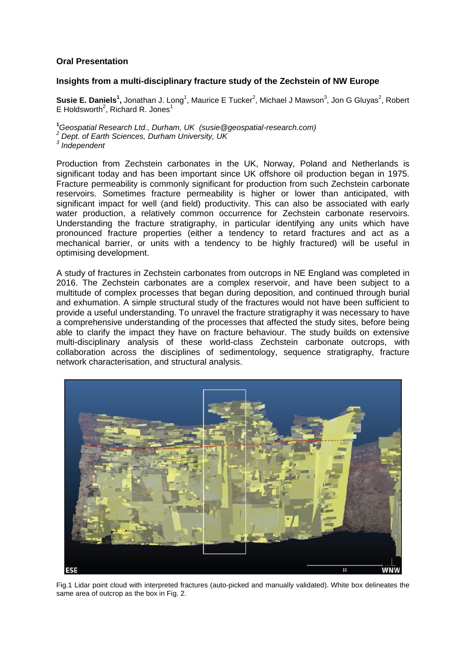## **Oral Presentation**

## **Insights from a multi-disciplinary fracture study of the Zechstein of NW Europe**

Susie E. Daniels<sup>1</sup>, Jonathan J. Long<sup>1</sup>, Maurice E Tucker<sup>2</sup>, Michael J Mawson<sup>3</sup>, Jon G Gluyas<sup>2</sup>, Robert E Holdsworth<sup>2</sup>, Richard R. Jones<sup>1</sup>

**<sup>1</sup>***Geospatial Research Ltd., Durham, UK (susie@geospatial-research.com) <sup>2</sup> Dept. of Earth Sciences, Durham University, UK 3 Independent*

Production from Zechstein carbonates in the UK, Norway, Poland and Netherlands is significant today and has been important since UK offshore oil production began in 1975. Fracture permeability is commonly significant for production from such Zechstein carbonate reservoirs. Sometimes fracture permeability is higher or lower than anticipated, with significant impact for well (and field) productivity. This can also be associated with early water production, a relatively common occurrence for Zechstein carbonate reservoirs. Understanding the fracture stratigraphy, in particular identifying any units which have pronounced fracture properties (either a tendency to retard fractures and act as a mechanical barrier, or units with a tendency to be highly fractured) will be useful in optimising development.

A study of fractures in Zechstein carbonates from outcrops in NE England was completed in 2016. The Zechstein carbonates are a complex reservoir, and have been subject to a multitude of complex processes that began during deposition, and continued through burial and exhumation. A simple structural study of the fractures would not have been sufficient to provide a useful understanding. To unravel the fracture stratigraphy it was necessary to have a comprehensive understanding of the processes that affected the study sites, before being able to clarify the impact they have on fracture behaviour. The study builds on extensive multi-disciplinary analysis of these world-class Zechstein carbonate outcrops, with collaboration across the disciplines of sedimentology, sequence stratigraphy, fracture network characterisation, and structural analysis.



Fig.1 Lidar point cloud with interpreted fractures (auto-picked and manually validated). White box delineates the same area of outcrop as the box in Fig. 2.